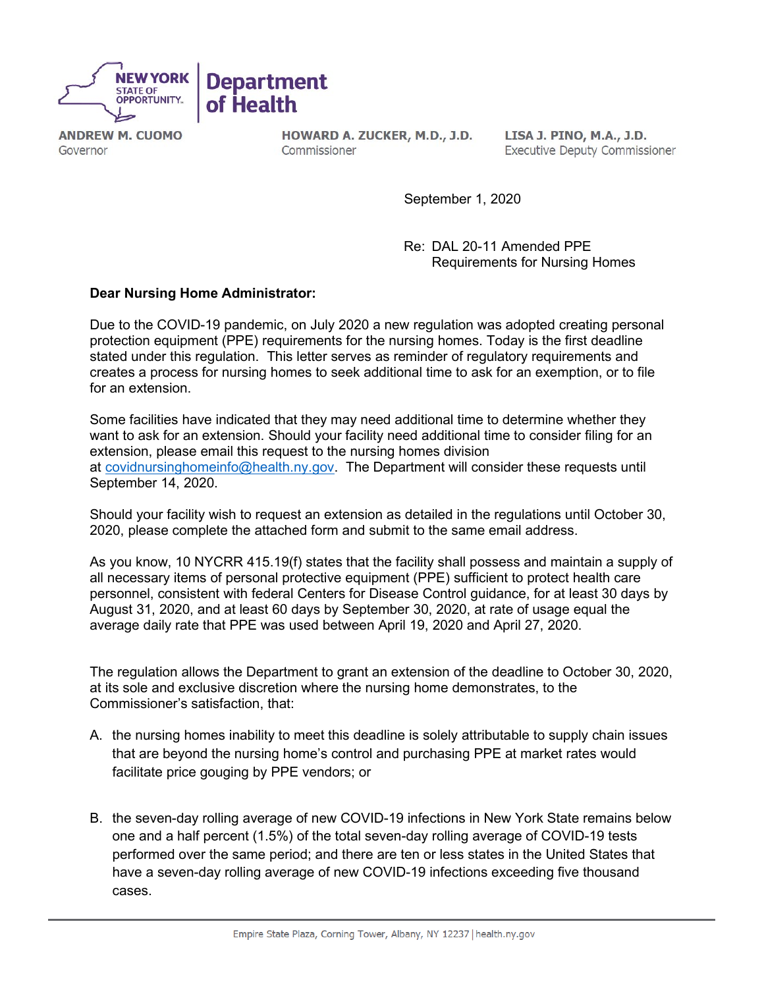

**ANDREW M. CUOMO** Governor

HOWARD A. ZUCKER, M.D., J.D. Commissioner

LISA J. PINO, M.A., J.D. **Executive Deputy Commissioner** 

September 1, 2020

Re: DAL 20-11 Amended PPE Requirements for Nursing Homes

#### **Dear Nursing Home Administrator:**

Due to the COVID-19 pandemic, on July 2020 a new regulation was adopted creating personal protection equipment (PPE) requirements for the nursing homes. Today is the first deadline stated under this regulation. This letter serves as reminder of regulatory requirements and creates a process for nursing homes to seek additional time to ask for an exemption, or to file for an extension.

Some facilities have indicated that they may need additional time to determine whether they want to ask for an extension. Should your facility need additional time to consider filing for an extension, please email this request to the nursing homes division at [covidnursinghomeinfo@health.ny.gov.](mailto:covidnursinghomeinfo@health.ny.gov) The Department will consider these requests until September 14, 2020.

Should your facility wish to request an extension as detailed in the regulations until October 30, 2020, please complete the attached form and submit to the same email address.

As you know, 10 NYCRR 415.19(f) states that the facility shall possess and maintain a supply of all necessary items of personal protective equipment (PPE) sufficient to protect health care personnel, consistent with federal Centers for Disease Control guidance, for at least 30 days by August 31, 2020, and at least 60 days by September 30, 2020, at rate of usage equal the average daily rate that PPE was used between April 19, 2020 and April 27, 2020.

The regulation allows the Department to grant an extension of the deadline to October 30, 2020, at its sole and exclusive discretion where the nursing home demonstrates, to the Commissioner's satisfaction, that:

- A. the nursing homes inability to meet this deadline is solely attributable to supply chain issues that are beyond the nursing home's control and purchasing PPE at market rates would facilitate price gouging by PPE vendors; or
- B. the seven-day rolling average of new COVID-19 infections in New York State remains below one and a half percent (1.5%) of the total seven-day rolling average of COVID-19 tests performed over the same period; and there are ten or less states in the United States that have a seven-day rolling average of new COVID-19 infections exceeding five thousand cases.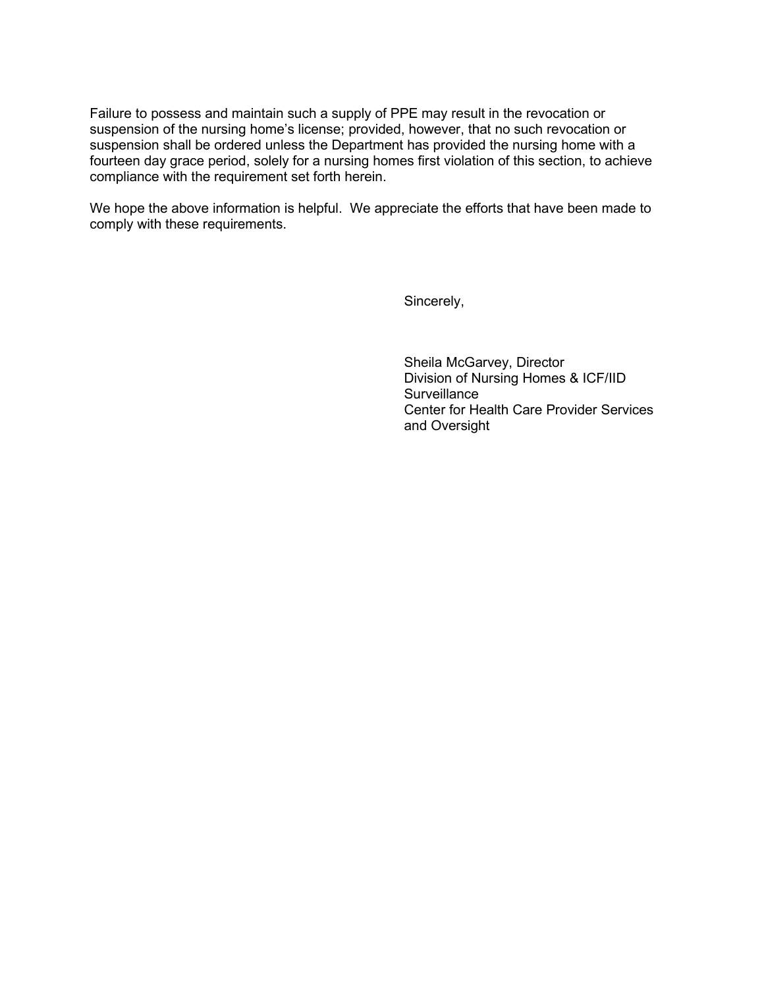Failure to possess and maintain such a supply of PPE may result in the revocation or suspension of the nursing home's license; provided, however, that no such revocation or suspension shall be ordered unless the Department has provided the nursing home with a fourteen day grace period, solely for a nursing homes first violation of this section, to achieve compliance with the requirement set forth herein.

We hope the above information is helpful. We appreciate the efforts that have been made to comply with these requirements.

Sincerely,

Sheila McGarvey, Director Division of Nursing Homes & ICF/IID **Surveillance** Center for Health Care Provider Services and Oversight